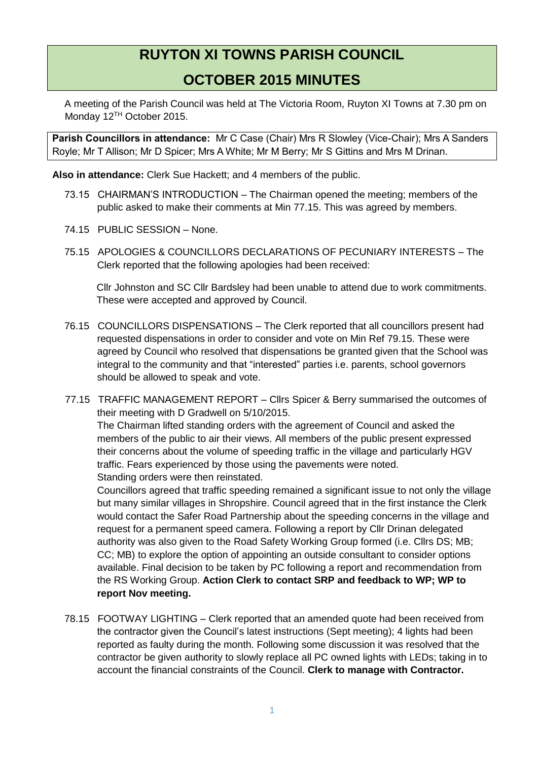## **RUYTON XI TOWNS PARISH COUNCIL**

## **OCTOBER 2015 MINUTES**

A meeting of the Parish Council was held at The Victoria Room, Ruyton XI Towns at 7.30 pm on Monday 12TH October 2015.

**Parish Councillors in attendance:** Mr C Case (Chair) Mrs R Slowley (Vice-Chair); Mrs A Sanders Royle; Mr T Allison; Mr D Spicer; Mrs A White; Mr M Berry; Mr S Gittins and Mrs M Drinan.

**Also in attendance:** Clerk Sue Hackett; and 4 members of the public.

- 73.15 CHAIRMAN'S INTRODUCTION The Chairman opened the meeting; members of the public asked to make their comments at Min 77.15. This was agreed by members.
- 74.15 PUBLIC SESSION None.
- 75.15 APOLOGIES & COUNCILLORS DECLARATIONS OF PECUNIARY INTERESTS The Clerk reported that the following apologies had been received:

Cllr Johnston and SC Cllr Bardsley had been unable to attend due to work commitments. These were accepted and approved by Council.

- 76.15 COUNCILLORS DISPENSATIONS The Clerk reported that all councillors present had requested dispensations in order to consider and vote on Min Ref 79.15. These were agreed by Council who resolved that dispensations be granted given that the School was integral to the community and that "interested" parties i.e. parents, school governors should be allowed to speak and vote.
- 77.15 TRAFFIC MANAGEMENT REPORT Cllrs Spicer & Berry summarised the outcomes of their meeting with D Gradwell on 5/10/2015. The Chairman lifted standing orders with the agreement of Council and asked the members of the public to air their views. All members of the public present expressed their concerns about the volume of speeding traffic in the village and particularly HGV traffic. Fears experienced by those using the pavements were noted. Standing orders were then reinstated.

Councillors agreed that traffic speeding remained a significant issue to not only the village but many similar villages in Shropshire. Council agreed that in the first instance the Clerk would contact the Safer Road Partnership about the speeding concerns in the village and request for a permanent speed camera. Following a report by Cllr Drinan delegated authority was also given to the Road Safety Working Group formed (i.e. Cllrs DS; MB; CC; MB) to explore the option of appointing an outside consultant to consider options available. Final decision to be taken by PC following a report and recommendation from the RS Working Group. **Action Clerk to contact SRP and feedback to WP; WP to report Nov meeting.**

78.15 FOOTWAY LIGHTING – Clerk reported that an amended quote had been received from the contractor given the Council's latest instructions (Sept meeting); 4 lights had been reported as faulty during the month. Following some discussion it was resolved that the contractor be given authority to slowly replace all PC owned lights with LEDs; taking in to account the financial constraints of the Council. **Clerk to manage with Contractor.**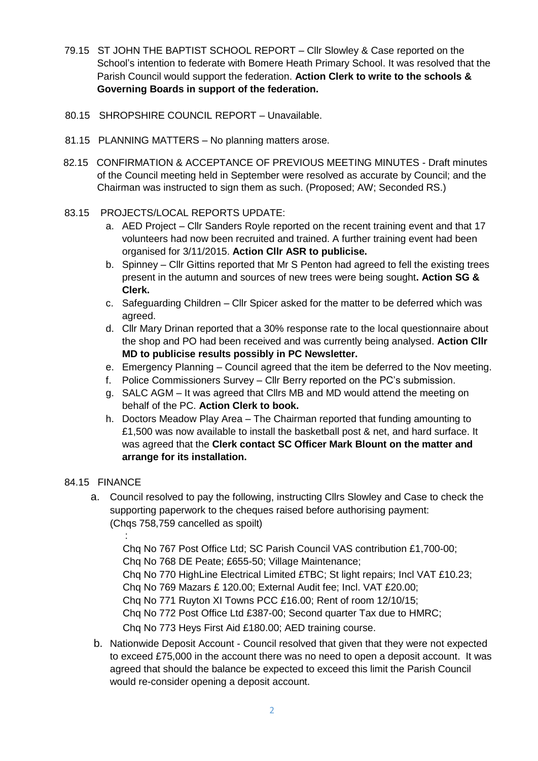- 79.15 ST JOHN THE BAPTIST SCHOOL REPORT Cllr Slowley & Case reported on the School's intention to federate with Bomere Heath Primary School. It was resolved that the Parish Council would support the federation. **Action Clerk to write to the schools & Governing Boards in support of the federation.**
- 80.15 SHROPSHIRE COUNCIL REPORT Unavailable.
- 81.15 PLANNING MATTERS No planning matters arose.
- 82.15 CONFIRMATION & ACCEPTANCE OF PREVIOUS MEETING MINUTES Draft minutes of the Council meeting held in September were resolved as accurate by Council; and the Chairman was instructed to sign them as such. (Proposed; AW; Seconded RS.)

## 83.15 PROJECTS/LOCAL REPORTS UPDATE:

- a. AED Project Cllr Sanders Royle reported on the recent training event and that 17 volunteers had now been recruited and trained. A further training event had been organised for 3/11/2015. **Action Cllr ASR to publicise.**
- b. Spinney Cllr Gittins reported that Mr S Penton had agreed to fell the existing trees present in the autumn and sources of new trees were being sought**. Action SG & Clerk.**
- c. Safeguarding Children Cllr Spicer asked for the matter to be deferred which was agreed.
- d. Cllr Mary Drinan reported that a 30% response rate to the local questionnaire about the shop and PO had been received and was currently being analysed. **Action Cllr MD to publicise results possibly in PC Newsletter.**
- e. Emergency Planning Council agreed that the item be deferred to the Nov meeting.
- f. Police Commissioners Survey Cllr Berry reported on the PC's submission.
- g. SALC AGM It was agreed that Cllrs MB and MD would attend the meeting on behalf of the PC. **Action Clerk to book.**
- h. Doctors Meadow Play Area The Chairman reported that funding amounting to £1,500 was now available to install the basketball post & net, and hard surface. It was agreed that the **Clerk contact SC Officer Mark Blount on the matter and arrange for its installation.**

## 84.15 FINANCE

- a. Council resolved to pay the following, instructing Cllrs Slowley and Case to check the supporting paperwork to the cheques raised before authorising payment: (Chas 758,759 cancelled as spoilt)
	- :

Chq No 767 Post Office Ltd; SC Parish Council VAS contribution £1,700-00;

Chq No 768 DE Peate; £655-50; Village Maintenance;

Chq No 770 HighLine Electrical Limited £TBC; St light repairs; Incl VAT £10.23;

Chq No 769 Mazars £ 120.00; External Audit fee; Incl. VAT £20.00;

Chq No 771 Ruyton XI Towns PCC £16.00; Rent of room 12/10/15;

Chq No 772 Post Office Ltd £387-00; Second quarter Tax due to HMRC;

Chq No 773 Heys First Aid £180.00; AED training course.

b. Nationwide Deposit Account - Council resolved that given that they were not expected to exceed £75,000 in the account there was no need to open a deposit account. It was agreed that should the balance be expected to exceed this limit the Parish Council would re-consider opening a deposit account.